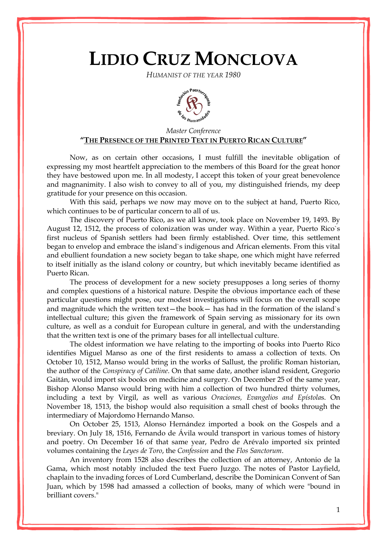## **LIDIO CRUZ MONCLOVA**

*HUMANIST OF THE YEAR 1980*



## *Master Conference* **"THE PRESENCE OF THE PRINTED TEXT IN PUERTO RICAN CULTURE"**

Now, as on certain other occasions, I must fulfill the inevitable obligation of expressing my most heartfelt appreciation to the members of this Board for the great honor they have bestowed upon me. In all modesty, I accept this token of your great benevolence and magnanimity. I also wish to convey to all of you, my distinguished friends, my deep gratitude for your presence on this occasion.

With this said, perhaps we now may move on to the subject at hand, Puerto Rico, which continues to be of particular concern to all of us.

The discovery of Puerto Rico, as we all know, took place on November 19, 1493. By August 12, 1512, the process of colonization was under way. Within a year, Puerto Rico`s first nucleus of Spanish settlers had been firmly established. Over time, this settlement began to envelop and embrace the island`s indigenous and African elements. From this vital and ebullient foundation a new society began to take shape, one which might have referred to itself initially as the island colony or country, but which inevitably became identified as Puerto Rican.

The process of development for a new society presupposes a long series of thorny and complex questions of a historical nature. Despite the obvious importance each of these particular questions might pose, our modest investigations will focus on the overall scope and magnitude which the written text—the book— has had in the formation of the island`s intellectual culture; this given the framework of Spain serving as missionary for its own culture, as well as a conduit for European culture in general, and with the understanding that the written text is one of the primary bases for all intellectual culture.

The oldest information we have relating to the importing of books into Puerto Rico identifies Miguel Manso as one of the first residents to amass a collection of texts. On October 10, 1512, Manso would bring in the works of Sallust, the prolific Roman historian, the author of the *Conspiracy of Catiline*. On that same date, another island resident, Gregorio Gaitán, would import six books on medicine and surgery. On December 25 of the same year, Bishop Alonso Manso would bring with him a collection of two hundred thirty volumes, including a text by Virgil, as well as various *Oraciones, Evangelios and Epístola*s. On November 18, 1513, the bishop would also requisition a small chest of books through the intermediary of Majordomo Hernando Manso.

On October 25, 1513, Alonso Hernández imported a book on the Gospels and a breviary. On July 18, 1516, Fernando de Ávila would transport in various tomes of history and poetry. On December 16 of that same year, Pedro de Arévalo imported six printed volumes containing the *Leyes de Toro*, the *Confession* and the *Flos Sanctorum*.

An inventory from 1528 also describes the collection of an attorney, Antonio de la Gama, which most notably included the text Fuero Juzgo. The notes of Pastor Layfield, chaplain to the invading forces of Lord Cumberland, describe the Dominican Convent of San Juan, which by 1598 had amassed a collection of books, many of which were "bound in brilliant covers."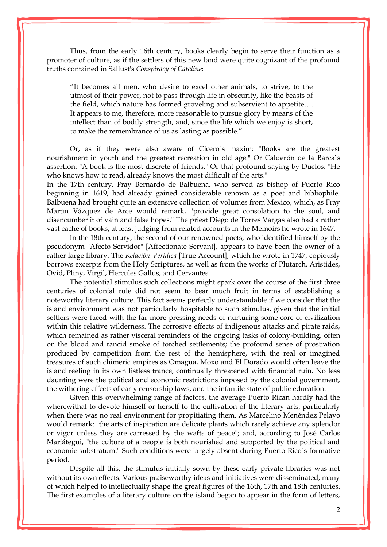Thus, from the early 16th century, books clearly begin to serve their function as a promoter of culture, as if the settlers of this new land were quite cognizant of the profound truths contained in Sallust's *Conspiracy of Cataline*:

"It becomes all men, who desire to excel other animals, to strive, to the utmost of their power, not to pass through life in obscurity, like the beasts of the field, which nature has formed groveling and subservient to appetite…. It appears to me, therefore, more reasonable to pursue glory by means of the intellect than of bodily strength, and, since the life which we enjoy is short, to make the remembrance of us as lasting as possible."

Or, as if they were also aware of Cicero`s maxim: "Books are the greatest nourishment in youth and the greatest recreation in old age." Or Calderón de la Barca`s assertion: "A book is the most discrete of friends." Or that profound saying by Duclos: "He who knows how to read, already knows the most difficult of the arts."

In the 17th century, Fray Bernardo de Balbuena, who served as bishop of Puerto Rico beginning in 1619, had already gained considerable renown as a poet and bibliophile. Balbuena had brought quite an extensive collection of volumes from Mexico, which, as Fray Martín Vázquez de Arce would remark, "provide great consolation to the soul, and disencumber it of vain and false hopes." The priest Diego de Torres Vargas also had a rather vast cache of books, at least judging from related accounts in the Memoirs he wrote in 1647.

In the 18th century, the second of our renowned poets, who identified himself by the pseudonym "Afecto Servidor" [Affectionate Servant], appears to have been the owner of a rather large library. The *Relación Verídica* [True Account], which he wrote in 1747, copiously borrows excerpts from the Holy Scriptures, as well as from the works of Plutarch, Aristides, Ovid, Pliny, Virgil, Hercules Gallus, and Cervantes.

The potential stimulus such collections might spark over the course of the first three centuries of colonial rule did not seem to bear much fruit in terms of establishing a noteworthy literary culture. This fact seems perfectly understandable if we consider that the island environment was not particularly hospitable to such stimulus, given that the initial settlers were faced with the far more pressing needs of nurturing some core of civilization within this relative wilderness. The corrosive effects of indigenous attacks and pirate raids, which remained as rather visceral reminders of the ongoing tasks of colony-building, often on the blood and rancid smoke of torched settlements; the profound sense of prostration produced by competition from the rest of the hemisphere, with the real or imagined treasures of such chimeric empires as Omagua, Moxo and El [Dorado](http://www.enciclopediapr.org/ing/article.cfm?ref=08050901) would often leave the island reeling in its own listless trance, continually threatened with financial ruin. No less daunting were the political and economic restrictions imposed by the colonial government, the withering effects of early censorship laws, and the infantile state of public education.

Given this overwhelming range of factors, the average Puerto Rican hardly had the wherewithal to devote himself or herself to the cultivation of the literary arts, particularly when there was no real environment for propitiating them. As Marcelino Menéndez Pelayo would remark: "the arts of inspiration are delicate plants which rarely achieve any splendor or vigor unless they are carressed by the wafts of peace"; and, according to José Carlos Mariátegui, "the culture of a people is both nourished and supported by the political and economic substratum." Such conditions were largely absent during Puerto Rico`s formative period.

Despite all this, the stimulus initially sown by these early private libraries was not without its own effects. Various praiseworthy ideas and initiatives were disseminated, many of which helped to intellectually shape the great figures of the 16th, 17th and 18th centuries. The first examples of a literary culture on the island began to appear in the form of letters,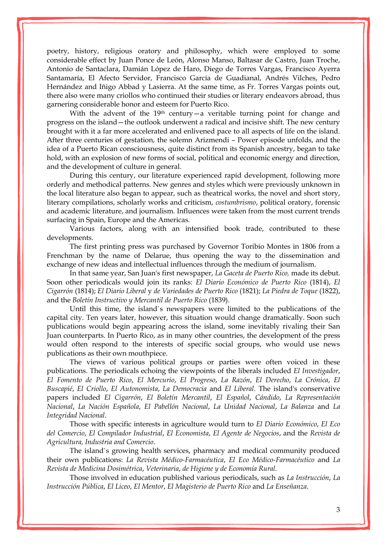poetry, history, religious oratory and philosophy, which were employed to some considerable effect by Juan Ponce de León, Alonso Manso, Baltasar de Castro, Juan Troche, Antonio de Santaclara, Damián López de Haro, Diego de Torres Vargas, Francisco Ayerra Santamaría, El Afecto Servidor, Francisco García de Guadianal, Andrés Vilches, Pedro Hernández and Iñigo Abbad y Lasierra. At the same time, as Fr. Torres Vargas points out, there also were many criollos who continued their studies or literary endeavors abroad, thus garnering considerable honor and esteem for Puerto Rico.

With the advent of the  $19<sup>th</sup>$  century — a veritable turning point for change and progress on the island—the outlook underwent a radical and incisive shift. The new century brought with it a far more accelerated and enlivened pace to all aspects of life on the island. After three centuries of gestation, the solemn Arizmendi – Power episode unfolds, and the idea of a Puerto Rican consciousness, quite distinct from its Spanish ancestry, began to take hold, with an explosion of new forms of social, political and economic energy and direction, and the development of culture in general.

During this century, our literature experienced rapid development, following more orderly and methodical patterns. New genres and styles which were previously unknown in the local literature also began to appear, such as theatrical works, the novel and short story, literary compilations, scholarly works and criticism, *costumbrismo*, political oratory, forensic and academic literature, and journalism. Influences were taken from the most current trends surfacing in Spain, Europe and the Americas.

Various factors, along with an intensified book trade, contributed to these developments.

The first printing press was purchased by Governor Toribio Montes in 1806 from a Frenchman by the name of Delarue, thus opening the way to the dissemination and exchange of new ideas and intellectual influences through the medium of journalism.

In that same year, San Juan's first newspaper, *La Gaceta de Puerto Rico,* made its debut. Soon other periodicals would join its ranks: *El Diario Económico de Puerto Rico* (1814), *El Cigarrón* (1814); *El Diario Liberal* y *de Variedades de Puerto Rico* (1821); *La Piedra de Toque* (1822), and the *Boletín Instructivo y Mercantil de Puerto Rico* (1839).

Until this time, the island`s newspapers were limited to the publications of the capital city. Ten years later, however, this situation would change dramatically. Soon such publications would begin appearing across the island, some inevitably rivaling their San Juan counterparts. In Puerto Rico, as in many other countries, the development of the press would often respond to the interests of specific social groups, who would use news publications as their own mouthpiece.

The views of various political groups or parties were often voiced in these publications. The periodicals echoing the viewpoints of the liberals included *El Investigador*, *El Fomento de Puerto Rico*, *El Mercurio*, *El Progreso*, *La Razón*, *El Derecho*, *La Crónica*, *El Buscapié*, *El Criollo*, *El Autonomista*, *La Democracia* and *El Liberal*. The island's conservative papers included *El Cigarrón*, *El Boletín Mercantil*, *El Español*, *Cándido*, *La Representación Nacional*, *La Nación Española*, *El Pabellón Nacional*, *La Unidad Nacional*, *La Balanza* and *La Integridad Nacional*.

Those with specific interests in agriculture would turn to *El Diario Económico*, *El Eco del Comercio*, *El Compilador Industrial*, *El Economista*, *El Agente de Negocios*, and the *Revista de Agricultura, Industria and Comercio*.

The island`s growing health services, pharmacy and medical community produced their own publications: *La Revista Médico-Farmacéutica*, *El Eco Médico-Farmacéutico* and *La Revista de Medicina Dosimétrica*, *Veterinaria*, *de Higiene y de Economía Rural.*

Those involved in education published various periodicals, such as *La Instrucción*, *La Instrucción Pública*, *El Liceo*, *El Mentor*, *El Magisterio de Puerto Rico* and *La Enseñanza*.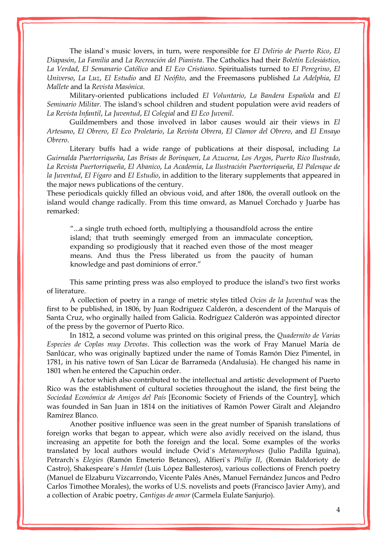The island`s music lovers, in turn, were responsible for *El Delirio de Puerto Rico*, *El Diapasón*, *La Familia* and *La Recreación del Pianista*. The Catholics had their *Boletín Eclesiástico*, *La Verdad*, *El Semanario Católico* and *El Eco Cristiano*. Spiritualists turned to *El Peregrino*, *El Universo*, *La Luz*, *El Estudio* and *El Neófito*, and the Freemasons published *La Adelphia*, *El Mallete* and la *Revista Masónica*.

Military-oriented publications included *El Voluntario*, *La Bandera Española* and *El Seminario Militar.* The island's school children and student population were avid readers of *La Revista Infantil*, *La Juventud*, *El Colegial* and *El Eco Juvenil*.

Guildmembers and those involved in labor causes would air their views in *El Artesano*, *El Obrero*, *El Eco Proletario*, *La Revista Obrera*, *El Clamor del Obrero*, and *El Ensayo Obrero*.

Literary buffs had a wide range of publications at their disposal, including *La Guirnalda Puertorriqueña*, *Las Brisas de Borinquen*, *La Azucena*, *Los Argos*, *Puerto Rico Ilustrado*, *La Revista Puertorriqueña*, *El Abanico*, *La Academia*, *La Ilustración Puertorriqueña*, *El Palenque de la Juventud*, *El Fígaro* and *El Estudio*, in addition to the literary supplements that appeared in the major news publications of the century.

These periodicals quickly filled an obvious void, and after 1806, the overall outlook on the island would change radically. From this time onward, as Manuel Corchado y Juarbe has remarked:

"...a single truth echoed forth, multiplying a thousandfold across the entire island; that truth seemingly emerged from an immaculate conception, expanding so prodigiously that it reached even those of the most meager means. And thus the Press liberated us from the paucity of human knowledge and past dominions of error."

This same printing press was also employed to produce the island's two first works of literature.

A collection of poetry in a range of metric styles titled *Ocios de la Juventud* was the first to be published, in 1806, by Juan Rodríguez Calderón, a descendent of the Marquis of Santa Cruz, who orginally hailed from Galicia. Rodríguez Calderón was appointed director of the press by the governor of Puerto Rico.

In 1812, a second volume was printed on this original press, the *Quadernito de Varias Especies de Coplas muy Devotas*. This collection was the work of Fray Manuel María de Sanlúcar, who was originally baptized under the name of Tomás Ramón Diez Pimentel, in 1781, in his native town of San Lúcar de Barrameda (Andalusia). He changed his name in 1801 when he entered the Capuchin order.

A factor which also contributed to the intellectual and artistic development of Puerto Rico was the establishment of cultural societies throughout the island, the first being the *Sociedad Económica de Amigos del País* [Economic Society of Friends of the Country], which was founded in San Juan in 1814 on the initiatives of Ramón Power Giralt and Alejandro Ramírez Blanco.

Another positive influence was seen in the great number of Spanish translations of foreign works that began to appear, which were also avidly received on the island, thus increasing an appetite for both the foreign and the local. Some examples of the works translated by local authors would include Ovid`s *Metamorphoses* (Julio Padilla Iguina), Petrarch`s *Elegies* (Ramón Emeterio Betances), Alfieri`s *Philip II*, (Román Baldorioty de Castro), Shakespeare`s *Hamlet* (Luis López Ballesteros), various collections of French poetry (Manuel de Elzaburu Vizcarrondo, Vicente Palés Anés, Manuel Fernández Juncos and Pedro Carlos Timothee Morales), the works of U.S. novelists and poets (Francisco Javier Amy), and a collection of Arabic poetry, *Cantigas de amor* (Carmela Eulate Sanjurjo).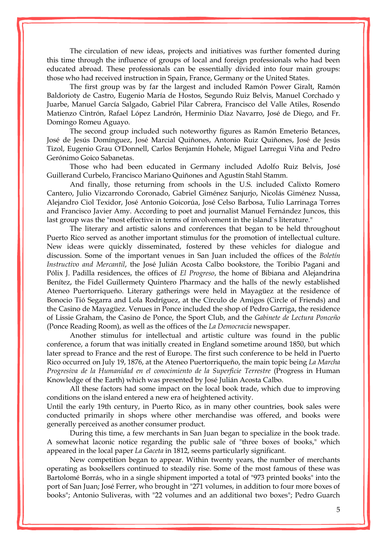The circulation of new ideas, projects and initiatives was further fomented during this time through the influence of groups of local and foreign professionals who had been educated abroad. These professionals can be essentially divided into four main groups: those who had received instruction in Spain, France, Germany or the United States.

The first group was by far the largest and included Ramón Power Giralt, Ramón Baldorioty de Castro, Eugenio María de Hostos, Segundo Ruiz Belvis, Manuel Corchado y Juarbe, Manuel García Salgado, Gabriel Pilar Cabrera, Francisco del Valle Atiles, Rosendo Matienzo Cintrón, Rafael López Landrón, Herminio Díaz Navarro, José de Diego, and Fr. Domingo Romeu Aguayo.

The second group included such noteworthy figures as Ramón Emeterio Betances, José de Jesús Domínguez, José Marcial Quiñones, Antonio Ruiz Quiñones, José de Jesús Tizol, Eugenio Grau O'Donnell, Carlos Benjamín Hohele, Miguel Larregui Viña and Pedro Gerónimo Goico Sabanetas.

Those who had been educated in Germany included Adolfo Ruiz Belvis, José Guillerand Curbelo, Francisco Mariano Quiñones and Agustín Stahl Stamm.

And finally, those returning from schools in the U.S. included Calixto Romero Cantero, Julio Vizcarrondo Coronado, Gabriel Giménez Sanjurjo, Nicolás Giménez Nussa, Alejandro Ciol Texidor, José Antonio Goicorúa, José Celso Barbosa, Tulio Larrinaga Torres and Francisco Javier Amy. According to poet and journalist Manuel Fernández Juncos, this last group was the "most effective in terms of involvement in the island`s literature."

The literary and artistic salons and conferences that began to be held throughout Puerto Rico served as another important stimulus for the promotion of intellectual culture. New ideas were quickly disseminated, fostered by these vehicles for dialogue and discussion. Some of the important venues in San Juan included the offices of the *Boletín Instructivo and Mercantil*, the José Julián Acosta Calbo bookstore, the Toribio Pagani and Pólix J. Padilla residences, the offices of *El Progreso*, the home of Bibiana and Alejandrina Benítez, the Fidel Guillermety Quintero Pharmacy and the halls of the newly established Ateneo Puertorriqueño. Literary gatherings were held in [Mayagüez](http://www.enciclopediapr.org/ing/article.cfm?ref=08021702) at the residence of Bonocio Tió Segarra and Lola Rodríguez, at the Círculo de Amigos (Circle of Friends) and the Casino de Mayagüez. Venues in Ponce included the shop of Pedro Garriga, the residence of Lissie Graham, the Casino de Ponce, the Sport Club, and the *Gabinete de Lectura Ponceño* (Ponce Reading Room), as well as the offices of the *La Democracia* newspaper.

Another stimulus for intellectual and artistic culture was found in the public conference, a forum that was initially created in England sometime around 1850, but which later spread to France and the rest of Europe. The first such conference to be held in Puerto Rico occurred on July 19, 1876, at the Ateneo Puertorriqueño, the main topic being *La Marcha Progresiva de la Humanidad en el conocimiento de la Superficie Terrestre* (Progress in Human Knowledge of the Earth) which was presented by José Julián Acosta Calbo.

All these factors had some impact on the local book trade, which due to improving conditions on the island entered a new era of heightened activity.

Until the early 19th century, in Puerto Rico, as in many other countries, book sales were conducted primarily in shops where other merchandise was offered, and books were generally perceived as another consumer product.

During this time, a few merchants in San Juan began to specialize in the book trade. A somewhat laconic notice regarding the public sale of "three boxes of books," which appeared in the local paper *La Gaceta* in 1812, seems particularly significant.

New competition began to appear. Within twenty years, the number of merchants operating as booksellers continued to steadily rise. Some of the most famous of these was Bartolomé Borrás, who in a single shipment imported a total of "973 printed books" into the port of San Juan; José Ferrer, who brought in "271 volumes, in addition to four more boxes of books"; Antonio Suliveras, with "22 volumes and an additional two boxes"; Pedro Guarch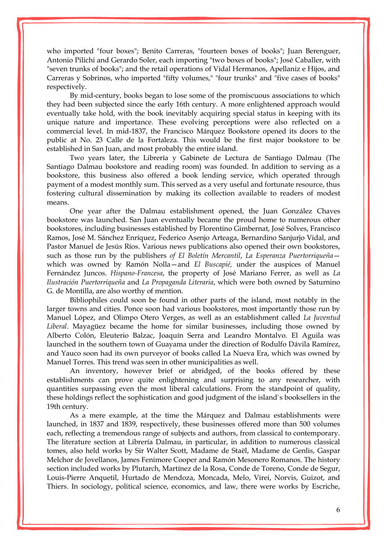who imported "four boxes"; Benito Carreras, "fourteen boxes of books"; Juan Berenguer, Antonio Pilichi and Gerardo Soler, each importing "two boxes of books"; José Caballer, with "seven trunks of books"; and the retail operations of Vidal Hermanos, Apellaniz e Hijos, and Carreras y Sobrinos, who imported "fifty volumes," "four trunks" and "five cases of books" respectively.

By mid-century, books began to lose some of the promiscuous associations to which they had been subjected since the early 16th century. A more enlightened approach would eventually take hold, with the book inevitably acquiring special status in keeping with its unique nature and importance. These evolving perceptions were also reflected on a commercial level. In mid-1837, the Francisco Márquez Bookstore opened its doors to the public at No. 23 Calle de la Fortaleza. This would be the first major bookstore to be established in San Juan, and most probably the entire island.

Two years later, the Librería y Gabinete de Lectura de Santiago Dalmau (The Santiago Dalmau bookstore and reading room) was founded. In addition to serving as a bookstore, this business also offered a book lending service, which operated through payment of a modest monthly sum. This served as a very useful and fortunate resource, thus fostering cultural dissemination by making its collection available to readers of modest means.

One year after the Dalmau establishment opened, the Juan González Chaves bookstore was launched. San Juan eventually became the proud home to numerous other bookstores, including businesses established by Florentino Gimbernat, José Solves, Francisco Ramos, José M. Sánchez Enríquez, Federico Asenjo Arteaga, Bernardino Sanjurjo Vidal, and Pastor Manuel de Jesús Ríos. Various news publications also opened their own bookstores, such as those run by the publishers *of El Boletín Mercantil*, *La Esperanza Puertorriqueña* which was owned by Ramón Nolla—and *El Buscapié,* under the auspices of Manuel Fernández Juncos. *Hispano-Francesa*, the property of José Mariano Ferrer, as well as *La Ilustración Puertorriqueña* and *La Propaganda Literaria*, which were both owned by Saturnino G. de Montilla, are also worthy of mention.

Bibliophiles could soon be found in other parts of the island, most notably in the larger towns and cities. Ponce soon had various bookstores, most importantly those run by Manuel López, and Olimpo Otero Verges, as well as an establishment called *La Juventud Liberal*. [Mayagüez](http://www.enciclopediapr.org/ing/article.cfm?ref=08021702) became the home for similar businesses, including those owned by Alberto Colón, Eleuterio Balzac, Joaquín Serra and Leandro Montalvo. El Aguila was launched in the southern town of Guayama under the direction of Rodulfo Dávila Ramírez, and Yauco soon had its own purveyor of books called La Nueva Era, which was owned by Manuel Torres. This trend was seen in other municipalities as well.

An inventory, however brief or abridged, of the books offered by these establishments can prove quite enlightening and surprising to any researcher, with quantities surpassing even the most liberal calculations. From the standpoint of quality, these holdings reflect the sophistication and good judgment of the island`s booksellers in the 19th century.

As a mere example, at the time the Márquez and Dalmau establishments were launched, in 1837 and 1839, respectively, these businesses offered more than 500 volumes each, reflecting a tremendous range of subjects and authors, from classical to contemporary. The literature section at Librería Dalmau, in particular, in addition to numerous classical tomes, also held works by Sir Walter Scott, Madame de Staël, Madame de Genlis, Gaspar Melchor de Jovellanos, James Fenimore Cooper and Ramón Mesonero Romanos. The history section included works by Plutarch, Martínez de la Rosa, Conde de Toreno, Conde de Segur, Louis-Pierre Anquetil, Hurtado de Mendoza, Moncada, Melo, Virei, Norvis, Guizot, and Thiers. In sociology, political science, economics, and law, there were works by Escriche,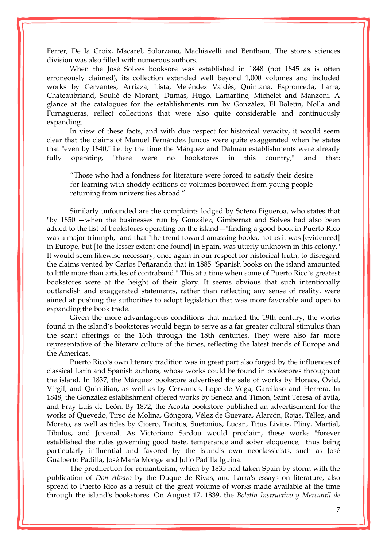Ferrer, De la Croix, Macarel, Solorzano, Machiavelli and Bentham. The store's sciences division was also filled with numerous authors.

When the José Solves booksore was established in 1848 (not 1845 as is often erroneously claimed), its collection extended well beyond 1,000 volumes and included works by Cervantes, Arriaza, Lista, Meléndez Valdés, Quintana, Espronceda, Larra, Chateaubriand, Soulié de Morant, Dumas, Hugo, Lamartine, Michelet and Manzoni. A glance at the catalogues for the establishments run by González, El Boletín, Nolla and Furnagueras, reflect collections that were also quite considerable and continuously expanding.

In view of these facts, and with due respect for historical veracity, it would seem clear that the claims of Manuel Fernández [Juncos](http://www.enciclopediapr.org/ing/article.cfm?ref=09042302) were quite exaggerated when he states that "even by 1840," i.e. by the time the Márquez and Dalmau establishments were already fully operating, "there were no bookstores in this country," and that:

"Those who had a fondness for literature were forced to satisfy their desire for learning with shoddy editions or volumes borrowed from young people returning from universities abroad."

Similarly unfounded are the complaints lodged by Sotero Figueroa, who states that "by 1850"—when the businesses run by González, Gimbernat and Solves had also been added to the list of bookstores operating on the island—"finding a good book in Puerto Rico was a major triumph," and that "the trend toward amassing books, not as it was [evidenced] in Europe, but [to the lesser extent one found] in Spain, was utterly unknown in this colony." It would seem likewise necessary, once again in our respect for historical truth, to disregard the claims vented by Carlos Peñaranda that in 1885 "Spanish books on the island amounted to little more than articles of contraband." This at a time when some of Puerto Rico`s greatest bookstores were at the height of their glory. It seems obvious that such intentionally outlandish and exaggerated statements, rather than reflecting any sense of reality, were aimed at pushing the authorities to adopt legislation that was more favorable and open to expanding the book trade.

Given the more advantageous conditions that marked the 19th century, the works found in the island`s bookstores would begin to serve as a far greater cultural stimulus than the scant offerings of the 16th through the 18th centuries. They were also far more representative of the literary culture of the times, reflecting the latest trends of Europe and the Americas.

Puerto Rico`s own literary tradition was in great part also forged by the influences of classical Latin and Spanish authors, whose works could be found in bookstores throughout the island. In 1837, the Márquez bookstore advertised the sale of works by Horace, Ovid, Virgil, and Quintilian, as well as by Cervantes, Lope de Vega, Garcilaso and Herrera. In 1848, the González establishment offered works by Seneca and Timon, Saint Teresa of ávila, and Fray Luis de León. By 1872, the Acosta bookstore published an advertisement for the works of Quevedo, Tirso de Molina, Góngora, Vélez de Guevara, Alarcón, Rojas, Téllez, and Moreto, as well as titles by Cicero, Tacitus, Suetonius, Lucan, Titus Livius, Pliny, Martial, Tibulus, and Juvenal. As Victoriano Sardou would proclaim, these works "forever established the rules governing good taste, temperance and sober eloquence*,*" thus being particularly influential and favored by the island's own neoclassicists, such as José [Gualberto Padilla,](http://www.enciclopediapr.org/ing/article.cfm?ref=10051707) José María Monge and Julio Padilla Iguina.

The predilection for romanticism, which by 1835 had taken Spain by storm with the publication of *Don Alvaro* by the Duque de Rivas, and Larra's essays on literature, also spread to Puerto Rico as a result of the great volume of works made available at the time through the island's bookstores. On August 17, 1839, the *Boletín Instructivo y Mercantil de*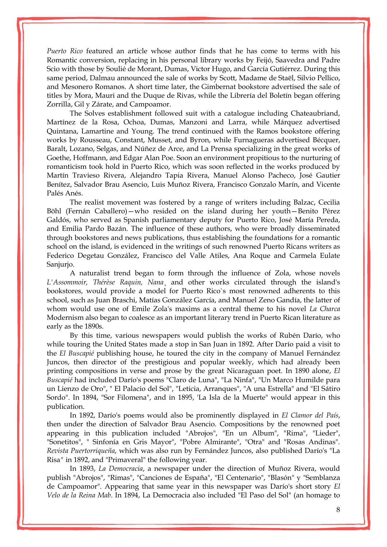*Puerto Rico* featured an article whose author finds that he has come to terms with his Romantic conversion, replacing in his personal library works by Feijó, Saavedra and Padre Scio with those by Soulié de Morant, Dumas, Victor Hugo, and García Gutiérrez. During this same period, Dalmau announced the sale of works by Scott, Madame de Staël, Silvio Pellico, and Mesonero Romanos. A short time later, the Gimbernat bookstore advertised the sale of titles by Mora, Mauri and the Duque de Rivas, while the Librería del Boletín began offering Zorrilla, Gil y Zárate, and Campoamor.

The Solves establishment followed suit with a catalogue including Chateaubriand, Martínez de la Rosa, Ochoa, Dumas, Manzoni and Larra, while Márquez advertised Quintana, Lamartine and Young. The trend continued with the Ramos bookstore offering works by Rousseau, Constant, Musset, and Byron, while Furnagueras advertised Bécquer, Baralt, Lozano, Selgas, and Núñez de Arce, and La Prensa specializing in the great works of Goethe, Hoffmann, and Edgar Alan Poe. Soon an environment propitious to the nurturing of romanticism took hold in Puerto Rico, which was soon reflected in the works produced by Martín Travieso Rivera, Alejandro Tapia Rivera, Manuel Alonso Pacheco, José Gautier Benítez, Salvador Brau Asencio, Luis Muñoz Rivera, Francisco Gonzalo Marín, and Vicente Palés Anés.

The realist movement was fostered by a range of writers including Balzac, Cecilia Böhl (Fernán Caballero)—who resided on the island during her youth—Benito Pérez Galdós, who served as Spanish parliamentary deputy for Puerto Rico, José María Pereda, and Emilia Pardo Bazán. The influence of these authors, who were broadly disseminated through bookstores and news publications, thus establishing the foundations for a romantic school on the island, is evidenced in the writings of such renowned Puerto Ricans writers as Federico Degetau González, Francisco del Valle Atiles, Ana Roque and Carmela Eulate Sanjurjo.

A naturalist trend began to form through the influence of Zola, whose novels *L'Assommoir, Thérèse Raquin, Nana*¸ and other works circulated through the island's bookstores, would provide a model for Puerto Rico`s most renowned adherents to this school, such as Juan Braschi, Matías González García, and Manuel Zeno Gandía, the latter of whom would use one of Emile Zola's maxims as a central theme to his novel *La Charca* Modernism also began to coalesce as an important literary trend in Puerto Rican literature as early as the 1890s.

By this time, various newspapers would publish the works of Rubén Darío, who while touring the United States made a stop in San Juan in 1892. After Darío paid a visit to the *El Buscapié* publishing house, he toured the city in the company of Manuel Fernández [Juncos,](http://www.enciclopediapr.org/ing/article.cfm?ref=09042302) then director of the prestigious and popular weekly, which had already been printing compositions in verse and prose by the great Nicaraguan poet. In 1890 alone, *El Buscapié* had included Darío's poems "Claro de Luna", "La Ninfa", "Un Marco Humilde para un Lienzo de Oro", " El Palacio del Sol", "Leticia, Arranques", "A una Estrella" and "El Sátiro Sordo". In 1894, "Sor Filomena", and in 1895, 'La Isla de la Muerte" would appear in this publication.

In 1892, Darío's poems would also be prominently displayed in *El Clamor del País*, then under the direction of Salvador Brau Asencio. Compositions by the renowned poet appearing in this publication included "Abrojos", "En un Album", "Rima", "Lieder", "Sonetitos", " Sinfonía en Gris Mayor", "Pobre Almirante", "Otra" and "Rosas Andinas". *Revista Puertorriqueña*, which was also run by Fernández Juncos, also published Darío's "La Risa*"* in 1892, and "Primaveral" the following year.

In 1893, *La Democracia*, a newspaper under the direction of Muñoz Rivera, would publish "Abrojos", "Rimas", "Canciones de España", "El Centenario", "Blasón" y "Semblanza de Campoamor". Appearing that same year in this newspaper was Darío's short story *El Velo de la Reina Mab*. In 1894, La Democracia also included "El Paso del Sol" (an homage to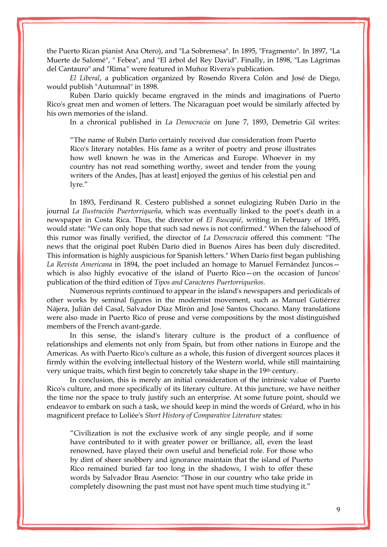the Puerto Rican pianist Ana Otero), and "La Sobremesa". In 1895, "Fragmento". In 1897, "La Muerte de Salomé", " Febea", and "El árbol del Rey David". Finally, in 1898, "Las Lágrimas del Cantauro" and "Rima*"* were featured in Muñoz Rivera's publication.

*El Liberal*, a publication organized by Rosendo Rivera Colón and José de Diego, would publish "Autumnal" in 1898.

Rubén Darío quickly became engraved in the minds and imaginations of Puerto Rico's great men and women of letters. The Nicaraguan poet would be similarly affected by his own memories of the island.

In a chronical published in *La Democracia* on June 7, 1893, Demetrio Gil writes:

"The name of Rubén Darío certainly received due consideration from Puerto Rico's literary notables. His fame as a writer of poetry and prose illustrates how well known he was in the Americas and Europe. Whoever in my country has not read something worthy, sweet and tender from the young writers of the Andes, [has at least] enjoyed the genius of his celestial pen and lyre."

In 1893, Ferdinand R. Cestero published a sonnet eulogizing Rubén Darío in the journal *La Ilustración Puertorriqueña*, which was eventually linked to the poet's death in a newspaper in Costa Rica. Thus, the director of *El Buscapié*, writing in February of 1895, would state: "We can only hope that such sad news is not confirmed*.*" When the falsehood of this rumor was finally verified, the director of *La Democracia* offered this comment: "The news that the original poet Rubén Darío died in Buenos Aires has been duly discredited. This information is highly auspicious for Spanish letters." When Darío first began publishing *La Revista Americana* in 1894, the poet included an homage to Manuel Fernández Juncos which is also highly evocative of the island of Puerto Rico—on the occasion of Juncos' publication of the third edition of *Tipos and Caracteres Puertorriqueños*.

Numerous reprints continued to appear in the island's newspapers and periodicals of other works by seminal figures in the modernist movement, such as Manuel Gutiérrez Nájera, Julián del Casal, Salvador Díaz Mirón and José Santos Chocano. Many translations were also made in Puerto Rico of prose and verse compositions by the most distinguished members of the French avant-garde.

In this sense, the island's literary culture is the product of a confluence of relationships and elements not only from Spain, but from other nations in Europe and the Americas. As with Puerto Rico's culture as a whole, this fusion of divergent sources places it firmly within the evolving intellectual history of the Western world, while still maintaining very unique traits, which first begin to concretely take shape in the 19th century.

In conclusion, this is merely an initial consideration of the intrinsic value of Puerto Rico's culture, and more specifically of its literary culture. At this juncture, we have neither the time nor the space to truly justify such an enterprise. At some future point, should we endeavor to embark on such a task, we should keep in mind the words of Gréard, who in his magnificent preface to Loliée's *Short History of Comparative Literature* states:

"Civilization is not the exclusive work of any single people, and if some have contributed to it with greater power or brilliance, all, even the least renowned, have played their own useful and beneficial role. For those who by dint of sheer snobbery and ignorance maintain that the island of Puerto Rico remained buried far too long in the shadows, I wish to offer these words by Salvador Brau Asencio: "Those in our country who take pride in completely disowning the past must not have spent much time studying it."